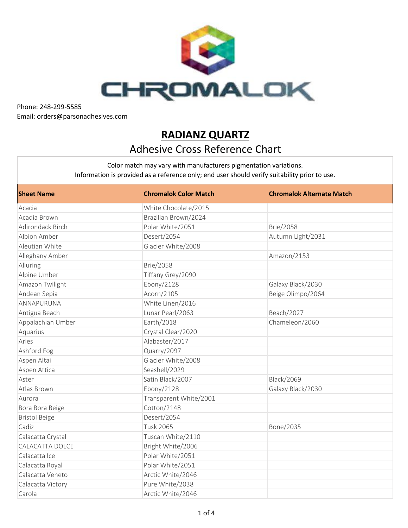

## **RADIANZ QUARTZ** Adhesive Cross Reference Chart

| <b>Sheet Name</b>    | <b>Chromalok Color Match</b> | <b>Chromalok Alternate Match</b> |
|----------------------|------------------------------|----------------------------------|
| Acacia               | White Chocolate/2015         |                                  |
| Acadia Brown         | Brazilian Brown/2024         |                                  |
| Adirondack Birch     | Polar White/2051             | <b>Brie/2058</b>                 |
| Albion Amber         | Desert/2054                  | Autumn Light/2031                |
| Aleutian White       | Glacier White/2008           |                                  |
| Alleghany Amber      |                              | Amazon/2153                      |
| Alluring             | <b>Brie/2058</b>             |                                  |
| Alpine Umber         | Tiffany Grey/2090            |                                  |
| Amazon Twilight      | Ebony/2128                   | Galaxy Black/2030                |
| Andean Sepia         | Acorn/2105                   | Beige Olimpo/2064                |
| ANNAPURUNA           | White Linen/2016             |                                  |
| Antigua Beach        | Lunar Pearl/2063             | Beach/2027                       |
| Appalachian Umber    | Earth/2018                   | Chameleon/2060                   |
| Aquarius             | Crystal Clear/2020           |                                  |
| Aries                | Alabaster/2017               |                                  |
| Ashford Fog          | Quarry/2097                  |                                  |
| Aspen Altai          | Glacier White/2008           |                                  |
| Aspen Attica         | Seashell/2029                |                                  |
| Aster                | Satin Black/2007             | <b>Black/2069</b>                |
| Atlas Brown          | Ebony/2128                   | Galaxy Black/2030                |
| Aurora               | Transparent White/2001       |                                  |
| Bora Bora Beige      | Cotton/2148                  |                                  |
| <b>Bristol Beige</b> | Desert/2054                  |                                  |
| Cadiz                | <b>Tusk 2065</b>             | Bone/2035                        |
| Calacatta Crystal    | Tuscan White/2110            |                                  |
| CALACATTA DOLCE      | Bright White/2006            |                                  |
| Calacatta Ice        | Polar White/2051             |                                  |
| Calacatta Royal      | Polar White/2051             |                                  |
| Calacatta Veneto     | Arctic White/2046            |                                  |
| Calacatta Victory    | Pure White/2038              |                                  |
| Carola               | Arctic White/2046            |                                  |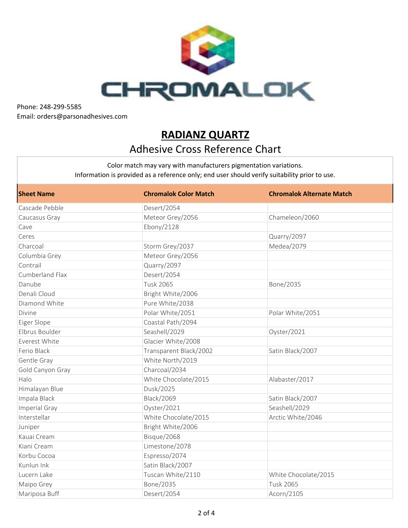

## **RADIANZ QUARTZ** Adhesive Cross Reference Chart

| <b>Sheet Name</b> | <b>Chromalok Color Match</b> | <b>Chromalok Alternate Match</b> |
|-------------------|------------------------------|----------------------------------|
| Cascade Pebble    | Desert/2054                  |                                  |
| Caucasus Gray     | Meteor Grey/2056             | Chameleon/2060                   |
| Cave              | Ebony/2128                   |                                  |
| Ceres             |                              | Quarry/2097                      |
| Charcoal          | Storm Grey/2037              | Medea/2079                       |
| Columbia Grey     | Meteor Grey/2056             |                                  |
| Contrail          | Quarry/2097                  |                                  |
| Cumberland Flax   | Desert/2054                  |                                  |
| Danube            | <b>Tusk 2065</b>             | Bone/2035                        |
| Denali Cloud      | Bright White/2006            |                                  |
| Diamond White     | Pure White/2038              |                                  |
| Divine            | Polar White/2051             | Polar White/2051                 |
| Eiger Slope       | Coastal Path/2094            |                                  |
| Elbrus Boulder    | Seashell/2029                | Oyster/2021                      |
| Everest White     | Glacier White/2008           |                                  |
| Ferio Black       | Transparent Black/2002       | Satin Black/2007                 |
| Gentle Gray       | White North/2019             |                                  |
| Gold Canyon Gray  | Charcoal/2034                |                                  |
| Halo              | White Chocolate/2015         | Alabaster/2017                   |
| Himalayan Blue    | Dusk/2025                    |                                  |
| Impala Black      | <b>Black/2069</b>            | Satin Black/2007                 |
| Imperial Gray     | Oyster/2021                  | Seashell/2029                    |
| Interstellar      | White Chocolate/2015         | Arctic White/2046                |
| Juniper           | Bright White/2006            |                                  |
| Kauai Cream       | Bisque/2068                  |                                  |
| Kiani Cream       | Limestone/2078               |                                  |
| Korbu Cocoa       | Espresso/2074                |                                  |
| Kunlun Ink        | Satin Black/2007             |                                  |
| Lucern Lake       | Tuscan White/2110            | White Chocolate/2015             |
| Maipo Grey        | Bone/2035                    | <b>Tusk 2065</b>                 |
| Mariposa Buff     | Desert/2054                  | Acorn/2105                       |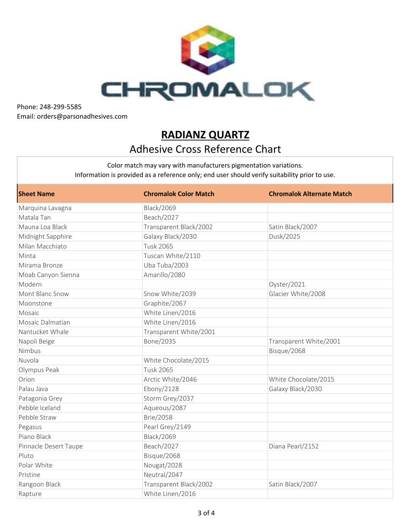

## **RADIANZ QUARTZ** Adhesive Cross Reference Chart

| <b>Sheet Name</b>     | <b>Chromalok Color Match</b> | <b>Chromalok Alternate Match</b> |
|-----------------------|------------------------------|----------------------------------|
| Marquina Lavagna      | <b>Black/2069</b>            |                                  |
| Matala Tan            | Beach/2027                   |                                  |
| Mauna Loa Black       | Transparent Black/2002       | Satin Black/2007                 |
| Midnight Sapphire     | Galaxy Black/2030            | Dusk/2025                        |
| Milan Macchiato       | <b>Tusk 2065</b>             |                                  |
| Minta                 | Tuscan White/2110            |                                  |
| Mirama Bronze         | Uba Tuba/2003                |                                  |
| Moab Canyon Sienna    | Amarillo/2080                |                                  |
| Modern                |                              | Oyster/2021                      |
| Mont Blanc Snow       | Snow White/2039              | Glacier White/2008               |
| Moonstone             | Graphite/2067                |                                  |
| Mosaic                | White Linen/2016             |                                  |
| Mosaic Dalmatian      | White Linen/2016             |                                  |
| Nantucket Whale       | Transparent White/2001       |                                  |
| Napoli Beige          | Bone/2035                    | Transparent White/2001           |
| Nimbus                |                              | Bisque/2068                      |
| Nuvola                | White Chocolate/2015         |                                  |
| Olympus Peak          | <b>Tusk 2065</b>             |                                  |
| Orion                 | Arctic White/2046            | White Chocolate/2015             |
| Palau Java            | Ebony/2128                   | Galaxy Black/2030                |
| Patagonia Grey        | Storm Grey/2037              |                                  |
| Pebble Iceland        | Aqueous/2087                 |                                  |
| Pebble Straw          | <b>Brie/2058</b>             |                                  |
| Pegasus               | Pearl Grey/2149              |                                  |
| Piano Black           | <b>Black/2069</b>            |                                  |
| Pinnacle Desert Taupe | Beach/2027                   | Diana Pearl/2152                 |
| Pluto                 | Bisque/2068                  |                                  |
| Polar White           | Nougat/2028                  |                                  |
| Pristine              | Neutral/2047                 |                                  |
| Rangoon Black         | Transparent Black/2002       | Satin Black/2007                 |
| Rapture               | White Linen/2016             |                                  |